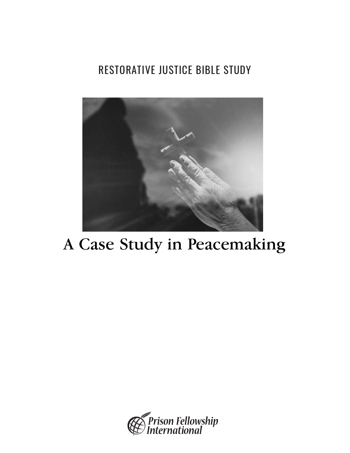## RESTORATIVE JUSTICE BIBLE STUDY



## A Case Study in Peacemaking

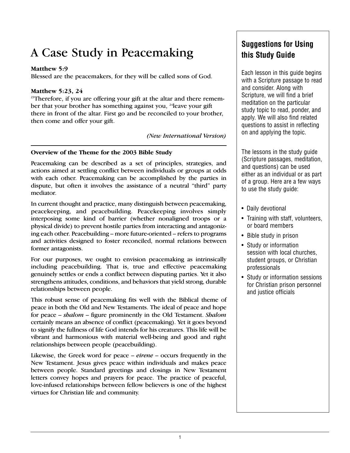## A Case Study in Peacemaking

#### **Matthew 5:9**

Blessed are the peacemakers, for they will be called sons of God.

#### **Matthew 5:23, 24**

<sup>23</sup>Therefore, if you are offering your gift at the altar and there remember that your brother has something against you, <sup>24</sup>leave your gift there in front of the altar. First go and be reconciled to your brother, then come and offer your gift.

*(New International Version)*

#### **Overview of the Theme for the 2003 Bible Study**

Peacemaking can be described as a set of principles, strategies, and actions aimed at settling conflict between individuals or groups at odds with each other. Peacemaking can be accomplished by the parties in dispute, but often it involves the assistance of a neutral "third" party mediator.

In current thought and practice, many distinguish between peacemaking, peacekeeping, and peacebuilding. Peacekeeping involves simply interposing some kind of barrier (whether nonaligned troops or a physical divide) to prevent hostile parties from interacting and antagonizing each other. Peacebuilding – more future-oriented – refers to programs and activities designed to foster reconciled, normal relations between former antagonists.

For our purposes, we ought to envision peacemaking as intrinsically including peacebuilding. That is, true and effective peacemaking genuinely settles or ends a conflict between disputing parties. Yet it also strengthens attitudes, conditions, and behaviors that yield strong, durable relationships between people.

This robust sense of peacemaking fits well with the Biblical theme of peace in both the Old and New Testaments. The ideal of peace and hope for peace – *shalom* – figure prominently in the Old Testament. *Shalom* certainly means an absence of conflict (peacemaking). Yet it goes beyond to signify the fullness of life God intends for his creatures. This life will be vibrant and harmonious with material well-being and good and right relationships between people (peacebuilding).

Likewise, the Greek word for peace – *eirene* – occurs frequently in the New Testament. Jesus gives peace within individuals and makes peace between people. Standard greetings and closings in New Testament letters convey hopes and prayers for peace. The practice of peaceful, love-infused relationships between fellow believers is one of the highest virtues for Christian life and community.

#### **Suggestions for Using this Study Guide**

Each lesson in this guide begins with a Scripture passage to read and consider. Along with Scripture, we will find a brief meditation on the particular study topic to read, ponder, and apply. We will also find related questions to assist in reflecting on and applying the topic.

The lessons in the study guide (Scripture passages, meditation, and questions) can be used either as an individual or as part of a group. Here are a few ways to use the study guide:

- Daily devotional
- Training with staff, volunteers, or board members
- Bible study in prison
- Study or information session with local churches, student groups, or Christian professionals
- Study or information sessions for Christian prison personnel and justice officials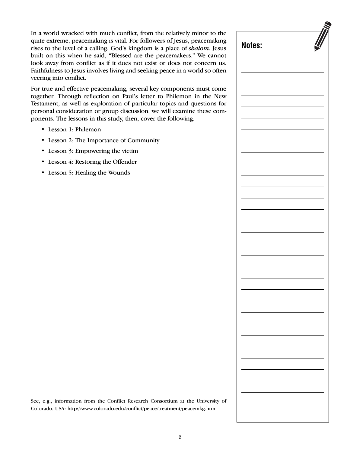In a world wracked with much conflict, from the relatively minor to the quite extreme, peacemaking is vital. For followers of Jesus, peacemaking rises to the level of a calling. God's kingdom is a place of *shalom*. Jesus built on this when he said, "Blessed are the peacemakers." We cannot look away from conflict as if it does not exist or does not concern us. Faithfulness to Jesus involves living and seeking peace in a world so often veering into conflict.

For true and effective peacemaking, several key components must come together. Through reflection on Paul's letter to Philemon in the New Testament, as well as exploration of particular topics and questions for personal consideration or group discussion, we will examine these components. The lessons in this study, then, cover the following.

- Lesson 1: Philemon
- Lesson 2: The Importance of Community
- Lesson 3: Empowering the victim
- Lesson 4: Restoring the Offender
- Lesson 5: Healing the Wounds

See, e.g., information from the Conflict Research Consortium at the University of Colorado, USA: http://www.colorado.edu/conflict/peace/treatment/peacemkg.htm.

| Notes: |  |
|--------|--|
|        |  |
|        |  |
|        |  |
|        |  |
|        |  |
|        |  |
|        |  |
|        |  |
|        |  |
|        |  |
|        |  |
|        |  |
|        |  |
|        |  |
|        |  |
|        |  |
|        |  |
|        |  |
|        |  |
|        |  |
|        |  |
|        |  |
|        |  |
|        |  |
|        |  |
|        |  |
|        |  |
|        |  |
|        |  |
|        |  |
|        |  |
|        |  |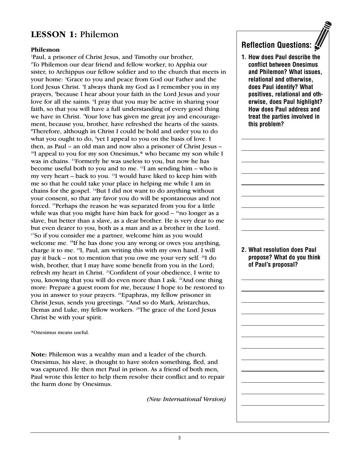#### **LESSON 1:** Philemon

#### **Philemon**

1 Paul, a prisoner of Christ Jesus, and Timothy our brother, 2 To Philemon our dear friend and fellow worker, to Apphia our sister, to Archippus our fellow soldier and to the church that meets in your home: <sup>3</sup>Grace to you and peace from God our Father and the Lord Jesus Christ. <sup>4</sup>I always thank my God as I remember you in my prayers, <sup>5</sup>because I hear about your faith in the Lord Jesus and your love for all the saints. I pray that you may be active in sharing your faith, so that you will have a full understanding of every good thing we have in Christ. 7 Your love has given me great joy and encouragement, because you, brother, have refreshed the hearts of the saints. 8 Therefore, although in Christ I could be bold and order you to do what you ought to do, <sup>9</sup>yet I appeal to you on the basis of love. I then, as Paul – an old man and now also a prisoner of Christ Jesus – <sup>10</sup>I appeal to you for my son Onesimus,\* who became my son while I was in chains. <sup>11</sup>Formerly he was useless to you, but now he has become useful both to you and to me. 12 I am sending him – who is my very heart – back to you. <sup>13</sup>I would have liked to keep him with me so that he could take your place in helping me while I am in chains for the gospel. 14But I did not want to do anything without your consent, so that any favor you do will be spontaneous and not forced. 15 Perhaps the reason he was separated from you for a little while was that you might have him back for good  $-$  <sup>16</sup>no longer as a slave, but better than a slave, as a dear brother. He is very dear to me but even dearer to you, both as a man and as a brother in the Lord. 17So if you consider me a partner, welcome him as you would welcome me. <sup>18</sup>If he has done you any wrong or owes you anything, charge it to me. 19 I, Paul, am writing this with my own hand. I will pay it back – not to mention that you owe me your very self. 20I do wish, brother, that I may have some benefit from you in the Lord; refresh my heart in Christ. 21Confident of your obedience, I write to you, knowing that you will do even more than I ask.<sup>22</sup>And one thing more: Prepare a guest room for me, because I hope to be restored to you in answer to your prayers. 23Epaphras, my fellow prisoner in Christ Jesus, sends you greetings. 24And so do Mark, Aristarchus, Demas and Luke, my fellow workers. 25The grace of the Lord Jesus Christ be with your spirit.

\*Onesimus means useful.

**Note:** Philemon was a wealthy man and a leader of the church. Onesimus, his slave, is thought to have stolen something, fled, and was captured. He then met Paul in prison. As a friend of both men, Paul wrote this letter to help them resolve their conflict and to repair the harm done by Onesimus.

*(New International Version)*

## **Reflection Questions:**

**1. How does Paul describe the conflict between Onesimus and Philemon? What issues, relational and otherwise, does Paul identify? What positives, relational and otherwise, does Paul highlight? How does Paul address and treat the parties involved in this problem?**

**2. What resolution does Paul propose? What do you think of Paul's proposal?**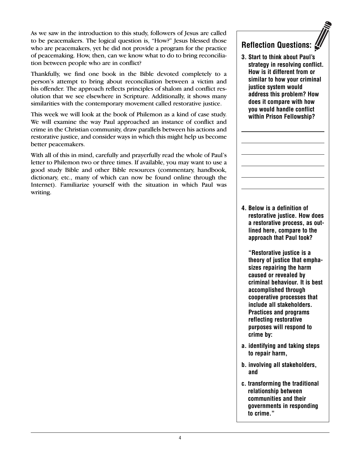As we saw in the introduction to this study, followers of Jesus are called to be peacemakers. The logical question is, "How?" Jesus blessed those who are peacemakers, yet he did not provide a program for the practice of peacemaking. How, then, can we know what to do to bring reconciliation between people who are in conflict?

Thankfully, we find one book in the Bible devoted completely to a person's attempt to bring about reconciliation between a victim and his offender. The approach reflects principles of shalom and conflict resolution that we see elsewhere in Scripture. Additionally, it shows many similarities with the contemporary movement called restorative justice.

This week we will look at the book of Philemon as a kind of case study. We will examine the way Paul approached an instance of conflict and crime in the Christian community, draw parallels between his actions and restorative justice, and consider ways in which this might help us become better peacemakers.

With all of this in mind, carefully and prayerfully read the whole of Paul's letter to Philemon two or three times. If available, you may want to use a good study Bible and other Bible resources (commentary, handbook, dictionary, etc., many of which can now be found online through the Internet). Familiarize yourself with the situation in which Paul was writing.

## **Reflection Questions:**

**3. Start to think about Paul's strategy in resolving conflict. How is it different from or similar to how your criminal justice system would address this problem? How does it compare with how you would handle conflict within Prison Fellowship?** 

**4. Below is a definition of restorative justice. How does a restorative process, as outlined here, compare to the approach that Paul took?**

**"Restorative justice is a theory of justice that emphasizes repairing the harm caused or revealed by criminal behaviour. It is best accomplished through cooperative processes that include all stakeholders. Practices and programs reflecting restorative purposes will respond to crime by:**

- **a. identifying and taking steps to repair harm,**
- **b. involving all stakeholders, and**
- **c. transforming the traditional relationship between communities and their governments in responding to crime."**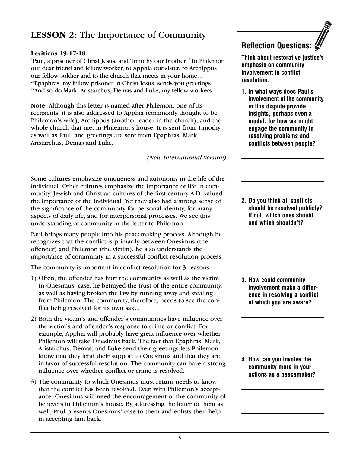## **LESSON 2:** The Importance of Community

#### **Leviticus 19:17-18**

<sup>1</sup>Paul, a prisoner of Christ Jesus, and Timothy our brother, <sup>2</sup>To Philemon our dear friend and fellow worker, to Apphia our sister, to Archippus our fellow soldier and to the church that meets in your home… <sup>23</sup>Epaphras, my fellow prisoner in Christ Jesus, sends you greetings. <sup>24</sup>And so do Mark, Aristarchus, Demas and Luke, my fellow workers

**Note:** Although this letter is named after Philemon, one of its recipients, it is also addressed to Apphia (commonly thought to be Philemon's wife), Archippus (another leader in the church), and the whole church that met in Philemon's house. It is sent from Timothy as well as Paul, and greetings are sent from Epaphras, Mark, Aristarchus, Demas and Luke.

*(New International Version)*

Some cultures emphasize uniqueness and autonomy in the life of the individual. Other cultures emphasize the importance of life in community. Jewish and Christian cultures of the first century A.D. valued the importance of the individual. Yet they also had a strong sense of the significance of the community for personal identity, for many aspects of daily life, and for interpersonal processes. We see this understanding of community in the letter to Philemon.

Paul brings many people into his peacemaking process. Although he recognizes that the conflict is primarily between Onesimus (the offender) and Philemon (the victim), he also understands the importance of community in a successful conflict resolution process.

The community is important in conflict resolution for 3 reasons.

- 1) Often, the offender has hurt the community as well as the victim. In Onesimus' case, he betrayed the trust of the entire community, as well as having broken the law by running away and stealing from Philemon. The community, therefore, needs to see the conflict being resolved for its own sake.
- 2) Both the victim's and offender's communities have influence over the victim's and offender's response to crime or conflict. For example, Apphia will probably have great influence over whether Philemon will take Onesimus back. The fact that Epaphras, Mark, Aristarchus, Demas, and Luke send their greetings lets Philemon know that they lend their support to Onesimus and that they are in favor of successful resolution. The community can have a strong influence over whether conflict or crime is resolved.
- 3) The community to which Onesimus must return needs to know that the conflict has been resolved. Even with Philemon's acceptance, Onesimus will need the encouragement of the community of believers in Philemon's house. By addressing the letter to them as well, Paul presents Onesimus' case to them and enlists their help in accepting him back.

## **Reflection Questions:**

**Think about restorative justice's emphasis on community involvement in conflict resolution.** 

**1. In what ways does Paul's involvement of the community in this dispute provide insights, perhaps even a model, for how we might engage the community in resolving problems and conflicts between people?**

**2. Do you think all conflicts should be resolved publicly? If not, which ones should and which shouldn't?** 

**3. How could community involvement make a difference in resolving a conflict of which you are aware?**

**4. How can you involve the community more in your actions as a peacemaker?**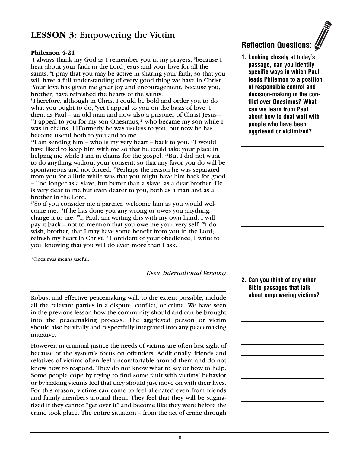#### **LESSON 3:** Empowering the Victim

#### **Philemon 4-21**

<sup>4</sup>I always thank my God as I remember you in my prayers, <sup>5</sup>because I hear about your faith in the Lord Jesus and your love for all the saints. I pray that you may be active in sharing your faith, so that you will have a full understanding of every good thing we have in Christ. 7 Your love has given me great joy and encouragement, because you, brother, have refreshed the hearts of the saints.

8 Therefore, although in Christ I could be bold and order you to do what you ought to do, <sup>9</sup>yet I appeal to you on the basis of love. I then, as Paul – an old man and now also a prisoner of Christ Jesus – <sup>10</sup>I appeal to you for my son Onesimus,\* who became my son while I was in chains. 11Formerly he was useless to you, but now he has become useful both to you and to me.

 $12$ I am sending him – who is my very heart – back to you.  $12$ I would have liked to keep him with me so that he could take your place in helping me while I am in chains for the gospel. <sup>14</sup>But I did not want to do anything without your consent, so that any favor you do will be spontaneous and not forced. <sup>15</sup>Perhaps the reason he was separated from you for a little while was that you might have him back for good  $-$ <sup>16</sup>no longer as a slave, but better than a slave, as a dear brother. He is very dear to me but even dearer to you, both as a man and as a brother in the Lord.

<sup>17</sup>So if you consider me a partner, welcome him as you would welcome me. 18If he has done you any wrong or owes you anything, charge it to me. 19 I, Paul, am writing this with my own hand. I will pay it back – not to mention that you owe me your very self. 20I do wish, brother, that I may have some benefit from you in the Lord; refresh my heart in Christ. <sup>21</sup>Confident of your obedience, I write to you, knowing that you will do even more than I ask.

\*Onesimus means useful.

*(New International Version)*

Robust and effective peacemaking will, to the extent possible, include all the relevant parties in a dispute, conflict, or crime. We have seen in the previous lesson how the community should and can be brought into the peacemaking process. The aggrieved person or victim should also be vitally and respectfully integrated into any peacemaking initiative.

However, in criminal justice the needs of victims are often lost sight of because of the system's focus on offenders. Additionally, friends and relatives of victims often feel uncomfortable around them and do not know how to respond. They do not know what to say or how to help. Some people cope by trying to find some fault with victims' behavior or by making victims feel that they should just move on with their lives. For this reason, victims can come to feel alienated even from friends and family members around them. They feel that they will be stigmatized if they cannot "get over it" and become like they were before the crime took place. The entire situation – from the act of crime through



**1. Looking closely at today's passage, can you identify specific ways in which Paul leads Philemon to a position of responsible control and decision-making in the conflict over Onesimus? What can we learn from Paul about how to deal well with people who have been aggrieved or victimized?**

**2. Can you think of any other Bible passages that talk about empowering victims?**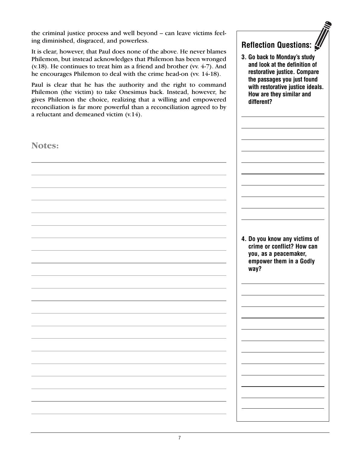the criminal justice process and well beyond – can leave victims feeling diminished, disgraced, and powerless.

It is clear, however, that Paul does none of the above. He never blames Philemon, but instead acknowledges that Philemon has been wronged (v.18). He continues to treat him as a friend and brother (vv. 4-7). And he encourages Philemon to deal with the crime head-on (vv. 14-18).

Paul is clear that he has the authority and the right to command Philemon (the victim) to take Onesimus back. Instead, however, he gives Philemon the choice, realizing that a willing and empowered reconciliation is far more powerful than a reconciliation agreed to by a reluctant and demeaned victim (v.14).

# **Notes: 4. Do you know any victims of crime or conflict? How can you, as a peacemaker, empower them in a Godly way?**

**Reflection Questions:**

**3. Go back to Monday's study and look at the definition of restorative justice. Compare the passages you just found with restorative justice ideals. How are they similar and** 

**different?**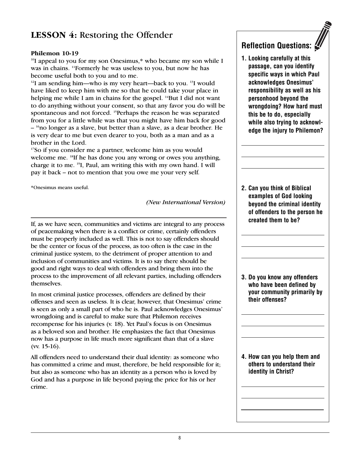## **LESSON 4:** Restoring the Offender

#### **Philemon 10-19**

<sup>10</sup>I appeal to you for my son Onesimus,\* who became my son while I was in chains. 11 Formerly he was useless to you, but now he has become useful both to you and to me.

 $12$ I am sending him—who is my very heart—back to you.  $13$ I would have liked to keep him with me so that he could take your place in helping me while I am in chains for the gospel. <sup>14</sup>But I did not want to do anything without your consent, so that any favor you do will be spontaneous and not forced. <sup>15</sup>Perhaps the reason he was separated from you for a little while was that you might have him back for good – <sup>16</sup> no longer as a slave, but better than a slave, as a dear brother. He is very dear to me but even dearer to you, both as a man and as a brother in the Lord.

17 So if you consider me a partner, welcome him as you would welcome me. <sup>18</sup>If he has done you any wrong or owes you anything, charge it to me. 19 I, Paul, am writing this with my own hand. I will pay it back – not to mention that you owe me your very self.

\*Onesimus means useful.

*(New International Version)*

If, as we have seen, communities and victims are integral to any process of peacemaking when there is a conflict or crime, certainly offenders must be properly included as well. This is not to say offenders should be the center or focus of the process, as too often is the case in the criminal justice system, to the detriment of proper attention to and inclusion of communities and victims. It is to say there should be good and right ways to deal with offenders and bring them into the process to the improvement of all relevant parties, including offenders themselves.

In most criminal justice processes, offenders are defined by their offenses and seen as useless. It is clear, however, that Onesimus' crime is seen as only a small part of who he is. Paul acknowledges Onesimus' wrongdoing and is careful to make sure that Philemon receives recompense for his injuries (v. 18). Yet Paul's focus is on Onesimus as a beloved son and brother. He emphasizes the fact that Onesimus now has a purpose in life much more significant than that of a slave (vv. 15-16).

All offenders need to understand their dual identity: as someone who has committed a crime and must, therefore, be held responsible for it; but also as someone who has an identity as a person who is loved by God and has a purpose in life beyond paying the price for his or her crime.

## **Reflection Questions:**

**1. Looking carefully at this passage, can you identify specific ways in which Paul acknowledges Onesimus' responsibility as well as his personhood beyond the wrongdoing? How hard must this be to do, especially while also trying to acknowledge the injury to Philemon?**

**2. Can you think of Biblical examples of God looking beyond the criminal identity of offenders to the person he created them to be?** 

**3. Do you know any offenders who have been defined by your community primarily by their offenses?** 

**4. How can you help them and others to understand their identity in Christ?**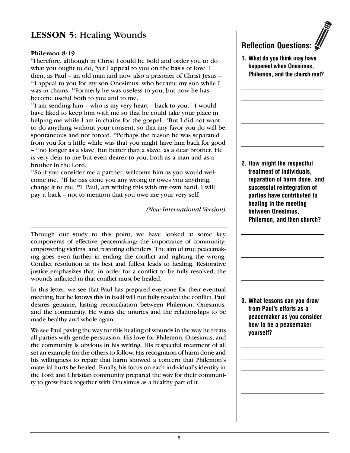## **LESSON 5:** Healing Wounds

#### **Philemon 8-19**

8 Therefore, although in Christ I could be bold and order you to do what you ought to do, <sup>9</sup>yet I appeal to you on the basis of love. I then, as Paul – an old man and now also a prisoner of Christ Jesus – <sup>10</sup>I appeal to you for my son Onesimus, who became my son while I was in chains. 11 Formerly he was useless to you, but now he has become useful both to you and to me.

 $12$ I am sending him – who is my very heart – back to you.  $13$ I would have liked to keep him with me so that he could take your place in helping me while I am in chains for the gospel. <sup>14</sup>But I did not want to do anything without your consent, so that any favor you do will be spontaneous and not forced. 15Perhaps the reason he was separated from you for a little while was that you might have him back for good – <sup>16</sup> no longer as a slave, but better than a slave, as a dear brother. He is very dear to me but even dearer to you, both as a man and as a brother in the Lord.

17 So if you consider me a partner, welcome him as you would welcome me. 18 If he has done you any wrong or owes you anything, charge it to me. 19I, Paul, am writing this with my own hand. I will pay it back – not to mention that you owe me your very self.

*(New International Version)*

Through our study to this point, we have looked at some key components of effective peacemaking: the importance of community; empowering victims; and restoring offenders. The aim of true peacemaking goes even further in ending the conflict and righting the wrong. Conflict resolution at its best and fullest leads to healing. Restorative justice emphasizes that, in order for a conflict to be fully resolved, the wounds inflicted in that conflict must be healed.

In this letter, we see that Paul has prepared everyone for their eventual meeting, but he knows this in itself will not fully resolve the conflict. Paul desires genuine, lasting reconciliation between Philemon, Onesimus, and the community. He wants the injuries and the relationships to be made healthy and whole again.

We see Paul paving the way for this healing of wounds in the way he treats all parties with gentle persuasion. His love for Philemon, Onesimus, and the community is obvious in his writing. His respectful treatment of all set an example for the others to follow. His recognition of harm done and his willingness to repair that harm showed a concern that Philemon's material hurts be healed. Finally, his focus on each individual's identity in the Lord and Christian community prepared the way for their community to grow back together with Onesimus as a healthy part of it.



**1. What do you think may have happened when Onesimus, Philemon, and the church met?**

**2. How might the respectful treatment of individuals, reparation of harm done, and successful reintegration of parties have contributed to healing in the meeting between Onesimus, Philemon, and then church?**

**3. What lessons can you draw from Paul's efforts as a peacemaker as you consider how to be a peacemaker yourself?**